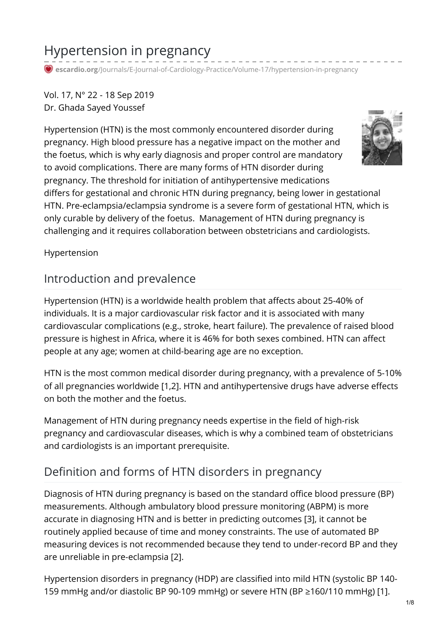# Hypertension in pregnancy

**escardio.org**[/Journals/E-Journal-of-Cardiology-Practice/Volume-17/hypertension-in-pregnancy](https://www.escardio.org/Journals/E-Journal-of-Cardiology-Practice/Volume-17/hypertension-in-pregnancy)

Vol. 17, N° 22 - 18 Sep 2019 Dr. Ghada Sayed Youssef

Hypertension (HTN) is the most commonly encountered disorder during pregnancy. High blood pressure has a negative impact on the mother and the foetus, which is why early diagnosis and proper control are mandatory to avoid complications. There are many forms of HTN disorder during pregnancy. The threshold for initiation of antihypertensive medications differs for gestational and chronic HTN during pregnancy, being lower in gestational HTN. Pre-eclampsia/eclampsia syndrome is a severe form of gestational HTN, which is only curable by delivery of the foetus. Management of HTN during pregnancy is challenging and it requires collaboration between obstetricians and cardiologists.

Hypertension

### Introduction and prevalence

Hypertension (HTN) is a worldwide health problem that affects about 25-40% of individuals. It is a major cardiovascular risk factor and it is associated with many cardiovascular complications (e.g., stroke, heart failure). The prevalence of raised blood pressure is highest in Africa, where it is 46% for both sexes combined. HTN can affect people at any age; women at child-bearing age are no exception.

HTN is the most common medical disorder during pregnancy, with a prevalence of 5-10% of all pregnancies worldwide [1,2]. HTN and antihypertensive drugs have adverse effects on both the mother and the foetus.

Management of HTN during pregnancy needs expertise in the field of high-risk pregnancy and cardiovascular diseases, which is why a combined team of obstetricians and cardiologists is an important prerequisite.

# Definition and forms of HTN disorders in pregnancy

Diagnosis of HTN during pregnancy is based on the standard office blood pressure (BP) measurements. Although ambulatory blood pressure monitoring (ABPM) is more accurate in diagnosing HTN and is better in predicting outcomes [3], it cannot be routinely applied because of time and money constraints. The use of automated BP measuring devices is not recommended because they tend to under-record BP and they are unreliable in pre-eclampsia [2].

Hypertension disorders in pregnancy (HDP) are classified into mild HTN (systolic BP 140- 159 mmHg and/or diastolic BP 90-109 mmHg) or severe HTN (BP ≥160/110 mmHg) [1].

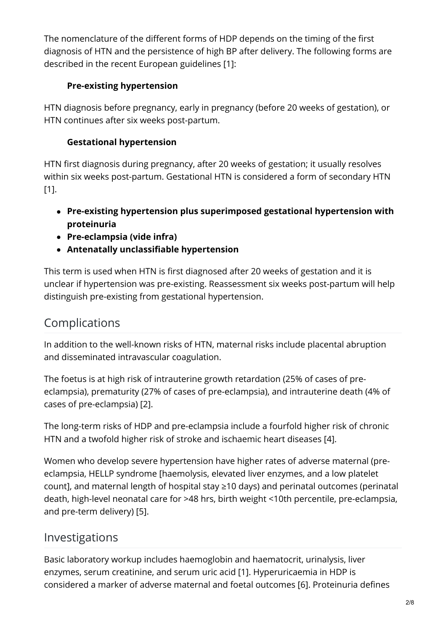The nomenclature of the different forms of HDP depends on the timing of the first diagnosis of HTN and the persistence of high BP after delivery. The following forms are described in the recent European guidelines [1]:

#### **Pre-existing hypertension**

HTN diagnosis before pregnancy, early in pregnancy (before 20 weeks of gestation), or HTN continues after six weeks post-partum.

#### **Gestational hypertension**

HTN first diagnosis during pregnancy, after 20 weeks of gestation; it usually resolves within six weeks post-partum. Gestational HTN is considered a form of secondary HTN [1].

- **Pre-existing hypertension plus superimposed gestational hypertension with proteinuria**
- **Pre-eclampsia (vide infra)**
- **Antenatally unclassifiable hypertension**

This term is used when HTN is first diagnosed after 20 weeks of gestation and it is unclear if hypertension was pre-existing. Reassessment six weeks post-partum will help distinguish pre-existing from gestational hypertension.

# Complications

In addition to the well-known risks of HTN, maternal risks include placental abruption and disseminated intravascular coagulation.

The foetus is at high risk of intrauterine growth retardation (25% of cases of preeclampsia), prematurity (27% of cases of pre-eclampsia), and intrauterine death (4% of cases of pre-eclampsia) [2].

The long-term risks of HDP and pre-eclampsia include a fourfold higher risk of chronic HTN and a twofold higher risk of stroke and ischaemic heart diseases [4].

Women who develop severe hypertension have higher rates of adverse maternal (preeclampsia, HELLP syndrome [haemolysis, elevated liver enzymes, and a low platelet count], and maternal length of hospital stay ≥10 days) and perinatal outcomes (perinatal death, high-level neonatal care for >48 hrs, birth weight <10th percentile, pre-eclampsia, and pre-term delivery) [5].

# Investigations

Basic laboratory workup includes haemoglobin and haematocrit, urinalysis, liver enzymes, serum creatinine, and serum uric acid [1]. Hyperuricaemia in HDP is considered a marker of adverse maternal and foetal outcomes [6]. Proteinuria defines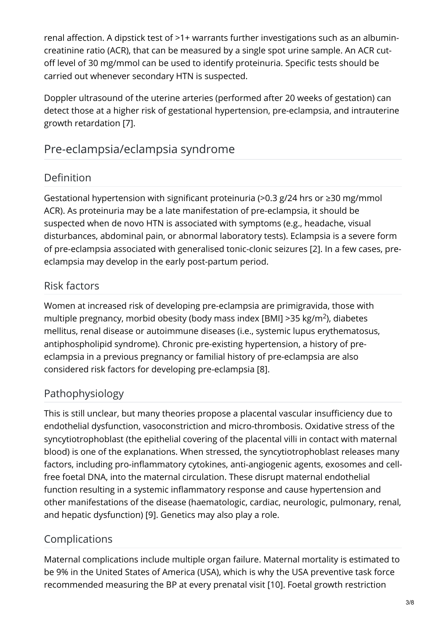renal affection. A dipstick test of >1+ warrants further investigations such as an albumincreatinine ratio (ACR), that can be measured by a single spot urine sample. An ACR cutoff level of 30 mg/mmol can be used to identify proteinuria. Specific tests should be carried out whenever secondary HTN is suspected.

Doppler ultrasound of the uterine arteries (performed after 20 weeks of gestation) can detect those at a higher risk of gestational hypertension, pre-eclampsia, and intrauterine growth retardation [7].

# Pre-eclampsia/eclampsia syndrome

# Definition

Gestational hypertension with significant proteinuria (>0.3 g/24 hrs or ≥30 mg/mmol ACR). As proteinuria may be a late manifestation of pre-eclampsia, it should be suspected when de novo HTN is associated with symptoms (e.g., headache, visual disturbances, abdominal pain, or abnormal laboratory tests). Eclampsia is a severe form of pre-eclampsia associated with generalised tonic-clonic seizures [2]. In a few cases, preeclampsia may develop in the early post-partum period.

### Risk factors

Women at increased risk of developing pre-eclampsia are primigravida, those with multiple pregnancy, morbid obesity (body mass index [BMI] >35 kg/m<sup>2</sup>), diabetes mellitus, renal disease or autoimmune diseases (i.e., systemic lupus erythematosus, antiphospholipid syndrome). Chronic pre-existing hypertension, a history of preeclampsia in a previous pregnancy or familial history of pre-eclampsia are also considered risk factors for developing pre-eclampsia [8].

### Pathophysiology

This is still unclear, but many theories propose a placental vascular insufficiency due to endothelial dysfunction, vasoconstriction and micro-thrombosis. Oxidative stress of the syncytiotrophoblast (the epithelial covering of the placental villi in contact with maternal blood) is one of the explanations. When stressed, the syncytiotrophoblast releases many factors, including pro-inflammatory cytokines, anti-angiogenic agents, exosomes and cellfree foetal DNA, into the maternal circulation. These disrupt maternal endothelial function resulting in a systemic inflammatory response and cause hypertension and other manifestations of the disease (haematologic, cardiac, neurologic, pulmonary, renal, and hepatic dysfunction) [9]. Genetics may also play a role.

#### Complications

Maternal complications include multiple organ failure. Maternal mortality is estimated to be 9% in the United States of America (USA), which is why the USA preventive task force recommended measuring the BP at every prenatal visit [10]. Foetal growth restriction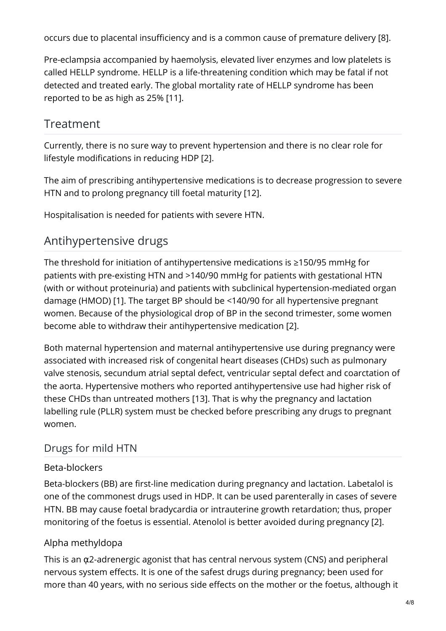occurs due to placental insufficiency and is a common cause of premature delivery [8].

Pre-eclampsia accompanied by haemolysis, elevated liver enzymes and low platelets is called HELLP syndrome. HELLP is a life-threatening condition which may be fatal if not detected and treated early. The global mortality rate of HELLP syndrome has been reported to be as high as 25% [11].

# Treatment

Currently, there is no sure way to prevent hypertension and there is no clear role for lifestyle modifications in reducing HDP [2].

The aim of prescribing antihypertensive medications is to decrease progression to severe HTN and to prolong pregnancy till foetal maturity [12].

Hospitalisation is needed for patients with severe HTN.

# Antihypertensive drugs

The threshold for initiation of antihypertensive medications is ≥150/95 mmHg for patients with pre-existing HTN and >140/90 mmHg for patients with gestational HTN (with or without proteinuria) and patients with subclinical hypertension-mediated organ damage (HMOD) [1]. The target BP should be <140/90 for all hypertensive pregnant women. Because of the physiological drop of BP in the second trimester, some women become able to withdraw their antihypertensive medication [2].

Both maternal hypertension and maternal antihypertensive use during pregnancy were associated with increased risk of congenital heart diseases (CHDs) such as pulmonary valve stenosis, secundum atrial septal defect, ventricular septal defect and coarctation of the aorta. Hypertensive mothers who reported antihypertensive use had higher risk of these CHDs than untreated mothers [13]. That is why the pregnancy and lactation labelling rule (PLLR) system must be checked before prescribing any drugs to pregnant women.

#### Drugs for mild HTN

#### Beta-blockers

Beta-blockers (BB) are first-line medication during pregnancy and lactation. Labetalol is one of the commonest drugs used in HDP. It can be used parenterally in cases of severe HTN. BB may cause foetal bradycardia or intrauterine growth retardation; thus, proper monitoring of the foetus is essential. Atenolol is better avoided during pregnancy [2].

#### Alpha methyldopa

This is an  $\alpha$ 2-adrenergic agonist that has central nervous system (CNS) and peripheral nervous system effects. It is one of the safest drugs during pregnancy; been used for more than 40 years, with no serious side effects on the mother or the foetus, although it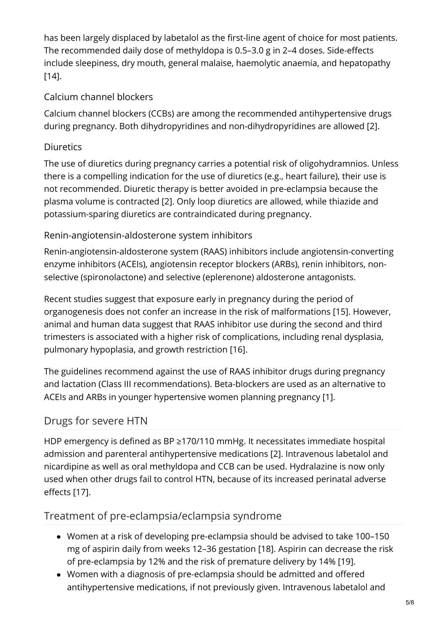has been largely displaced by labetalol as the first-line agent of choice for most patients. The recommended daily dose of methyldopa is 0.5–3.0 g in 2–4 doses. Side-effects include sleepiness, dry mouth, general malaise, haemolytic anaemia, and hepatopathy [14].

#### Calcium channel blockers

Calcium channel blockers (CCBs) are among the recommended antihypertensive drugs during pregnancy. Both dihydropyridines and non-dihydropyridines are allowed [2].

#### Diuretics

The use of diuretics during pregnancy carries a potential risk of oligohydramnios. Unless there is a compelling indication for the use of diuretics (e.g., heart failure), their use is not recommended. Diuretic therapy is better avoided in pre-eclampsia because the plasma volume is contracted [2]. Only loop diuretics are allowed, while thiazide and potassium-sparing diuretics are contraindicated during pregnancy.

#### Renin-angiotensin-aldosterone system inhibitors

Renin-angiotensin-aldosterone system (RAAS) inhibitors include angiotensin-converting enzyme inhibitors (ACEIs), angiotensin receptor blockers (ARBs), renin inhibitors, nonselective (spironolactone) and selective (eplerenone) aldosterone antagonists.

Recent studies suggest that exposure early in pregnancy during the period of organogenesis does not confer an increase in the risk of malformations [15]. However, animal and human data suggest that RAAS inhibitor use during the second and third trimesters is associated with a higher risk of complications, including renal dysplasia, pulmonary hypoplasia, and growth restriction [16].

The guidelines recommend against the use of RAAS inhibitor drugs during pregnancy and lactation (Class III recommendations). Beta-blockers are used as an alternative to ACEIs and ARBs in younger hypertensive women planning pregnancy [1].

#### Drugs for severe HTN

HDP emergency is defined as BP ≥170/110 mmHg. It necessitates immediate hospital admission and parenteral antihypertensive medications [2]. Intravenous labetalol and nicardipine as well as oral methyldopa and CCB can be used. Hydralazine is now only used when other drugs fail to control HTN, because of its increased perinatal adverse effects [17].

#### Treatment of pre-eclampsia/eclampsia syndrome

- Women at a risk of developing pre-eclampsia should be advised to take 100–150 mg of aspirin daily from weeks 12–36 gestation [18]. Aspirin can decrease the risk of pre-eclampsia by 12% and the risk of premature delivery by 14% [19].
- Women with a diagnosis of pre-eclampsia should be admitted and offered antihypertensive medications, if not previously given. Intravenous labetalol and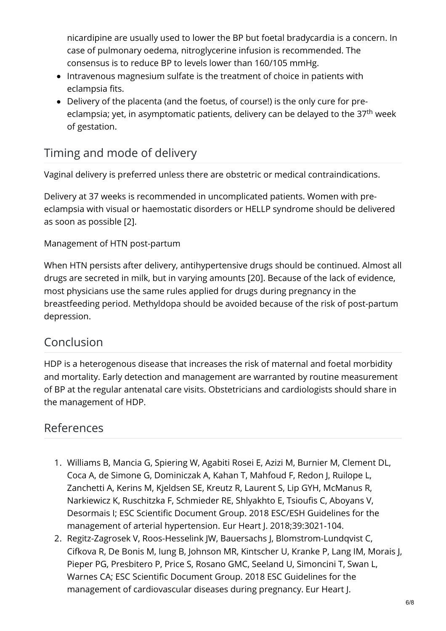nicardipine are usually used to lower the BP but foetal bradycardia is a concern. In case of pulmonary oedema, nitroglycerine infusion is recommended. The consensus is to reduce BP to levels lower than 160/105 mmHg.

- Intravenous magnesium sulfate is the treatment of choice in patients with eclampsia fits.
- Delivery of the placenta (and the foetus, of course!) is the only cure for preeclampsia; yet, in asymptomatic patients, delivery can be delayed to the 37<sup>th</sup> week of gestation.

# Timing and mode of delivery

Vaginal delivery is preferred unless there are obstetric or medical contraindications.

Delivery at 37 weeks is recommended in uncomplicated patients. Women with preeclampsia with visual or haemostatic disorders or HELLP syndrome should be delivered as soon as possible [2].

#### Management of HTN post-partum

When HTN persists after delivery, antihypertensive drugs should be continued. Almost all drugs are secreted in milk, but in varying amounts [20]. Because of the lack of evidence, most physicians use the same rules applied for drugs during pregnancy in the breastfeeding period. Methyldopa should be avoided because of the risk of post-partum depression.

# Conclusion

HDP is a heterogenous disease that increases the risk of maternal and foetal morbidity and mortality. Early detection and management are warranted by routine measurement of BP at the regular antenatal care visits. Obstetricians and cardiologists should share in the management of HDP.

# References

- 1. Williams B, Mancia G, Spiering W, Agabiti Rosei E, Azizi M, Burnier M, Clement DL, Coca A, de Simone G, Dominiczak A, Kahan T, Mahfoud F, Redon J, Ruilope L, Zanchetti A, Kerins M, Kjeldsen SE, Kreutz R, Laurent S, Lip GYH, McManus R, Narkiewicz K, Ruschitzka F, Schmieder RE, Shlyakhto E, Tsioufis C, Aboyans V, Desormais I; ESC Scientific Document Group. 2018 ESC/ESH Guidelines for the management of arterial hypertension. Eur Heart J. [2018;39:3021-104.](https://academic.oup.com/eurheartj/article/39/33/3021/5079119)
- 2. Regitz-Zagrosek V, Roos-Hesselink JW, Bauersachs J, Blomstrom-Lundqvist C, Cifkova R, De Bonis M, Iung B, Johnson MR, Kintscher U, Kranke P, Lang IM, Morais J, Pieper PG, Presbitero P, Price S, Rosano GMC, Seeland U, Simoncini T, Swan L, Warnes CA; ESC Scientific Document Group. 2018 ESC Guidelines for the management of [cardiovascular](https://academic.oup.com/eurheartj/article/39/34/3165/5078465) diseases during pregnancy. Eur Heart J.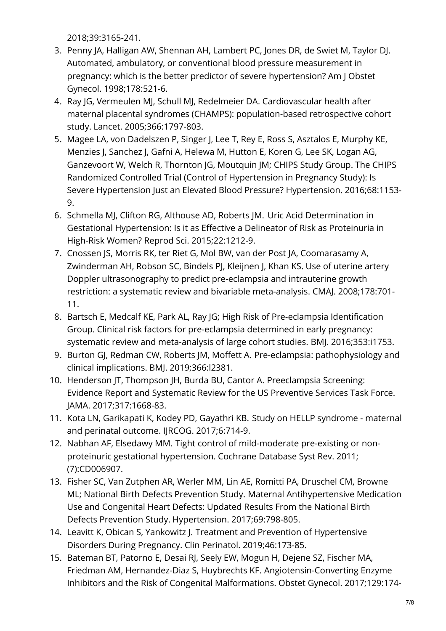2018;39:3165-241.

- 3. Penny JA, Halligan AW, Shennan AH, Lambert PC, Jones DR, de Swiet M, Taylor DJ. Automated, ambulatory, or conventional blood pressure measurement in pregnancy: which is the better predictor of severe [hypertension?](https://www.ajog.org/article/S0002-9378(98)70432-6/fulltext) Am J Obstet Gynecol. 1998;178:521-6.
- 4. Ray JG, Vermeulen MJ, Schull MJ, Redelmeier DA. Cardiovascular health after maternal placental syndromes (CHAMPS): population-based retrospective cohort study. Lancet. [2005;366:1797-803.](https://www.thelancet.com/journals/lancet/article/PIIS0140-6736(05)67726-4/fulltext)
- 5. Magee LA, von Dadelszen P, Singer J, Lee T, Rey E, Ross S, Asztalos E, Murphy KE, Menzies J, Sanchez J, Gafni A, Helewa M, Hutton E, Koren G, Lee SK, Logan AG, Ganzevoort W, Welch R, Thornton JG, Moutquin JM; CHIPS Study Group. The CHIPS Randomized Controlled Trial (Control of Hypertension in Pregnancy Study): Is Severe Hypertension Just an Elevated Blood Pressure? [Hypertension.](https://www.ncbi.nlm.nih.gov/pmc/articles/PMC5058640/) 2016;68:1153- 9.
- 6. Schmella MJ, Clifton RG, Althouse AD, Roberts JM. Uric Acid Determination in Gestational Hypertension: Is it as Effective a Delineator of Risk as Proteinuria in High-Risk Women? Reprod Sci. [2015;22:1212-9.](https://www.ncbi.nlm.nih.gov/pmc/articles/PMC5933086/)
- 7. Cnossen JS, Morris RK, ter Riet G, Mol BW, van der Post JA, Coomarasamy A, Zwinderman AH, Robson SC, Bindels PJ, Kleijnen J, Khan KS. Use of uterine artery Doppler [ultrasonography](https://www.ncbi.nlm.nih.gov/pmc/articles/PMC2263112/) to predict pre-eclampsia and intrauterine growth restriction: a systematic review and bivariable meta-analysis. CMAJ. 2008;178:701- 11.
- 8. Bartsch E, Medcalf KE, Park AL, Ray JG; High Risk of Pre-eclampsia Identification Group. Clinical risk factors for [pre-eclampsia](https://www.ncbi.nlm.nih.gov/pmc/articles/PMC4837230/) determined in early pregnancy: systematic review and meta-analysis of large cohort studies. BMJ. 2016;353:i1753.
- 9. Burton GJ, Redman CW, Roberts JM, Moffett A. Pre-eclampsia: [pathophysiology](https://www.bmj.com/content/366/bmj.l2381.long) and clinical implications. BMJ. 2019;366:l2381.
- 10. Henderson JT, Thompson JH, Burda BU, Cantor A. [Preeclampsia](https://jamanetwork.com/journals/jama/fullarticle/2620094) Screening: Evidence Report and Systematic Review for the US Preventive Services Task Force. JAMA. 2017;317:1668-83.
- 11. Kota LN, Garikapati K, Kodey PD, Gayathri KB. Study on HELLP syndrome maternal and perinatal outcome. IIRCOG. 2017:6:714-9.
- 12. Nabhan AF, Elsedawy MM. Tight control of [mild-moderate](https://www.cochranelibrary.com/cdsr/doi/10.1002/14651858.CD006907.pub2/full) pre-existing or nonproteinuric gestational hypertension. Cochrane Database Syst Rev. 2011; (7):CD006907.
- 13. Fisher SC, Van Zutphen AR, Werler MM, Lin AE, Romitti PA, Druschel CM, Browne ML; National Birth Defects Prevention Study. Maternal Antihypertensive Medication Use and Congenital Heart Defects: Updated Results From the National Birth Defects Prevention Study. Hypertension. [2017;69:798-805.](https://www.ahajournals.org/doi/full/10.1161/HYPERTENSIONAHA.116.08773?url_ver=Z39.88-2003&rfr_id=ori:rid:crossref.org&rfr_dat=cr_pub%3dpubmed)
- 14. Leavitt K, Obican S, Yankowitz J. Treatment and Prevention of Hypertensive Disorders During Pregnancy. Clin Perinatol. [2019;46:173-85.](https://www.sciencedirect.com/science/article/pii/S0095510819300090?via%3Dihub)
- 15. Bateman BT, Patorno E, Desai RJ, Seely EW, Mogun H, Dejene SZ, Fischer MA, Friedman AM, Hernandez-Diaz S, Huybrechts KF. [Angiotensin-Converting](https://www.ncbi.nlm.nih.gov/pmc/articles/PMC5177460/) Enzyme Inhibitors and the Risk of Congenital Malformations. Obstet Gynecol. 2017;129:174-